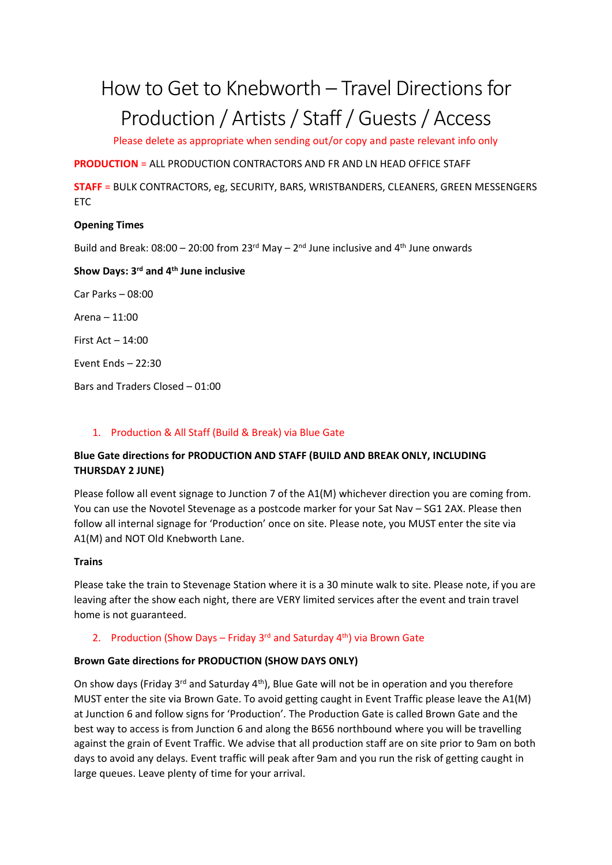# How to Get to Knebworth – Travel Directions for Production / Artists / Staff/ Guests / Access

Please delete as appropriate when sending out/or copy and paste relevant info only

**PRODUCTION** = ALL PRODUCTION CONTRACTORS AND FR AND LN HEAD OFFICE STAFF

**STAFF** = BULK CONTRACTORS, eg, SECURITY, BARS, WRISTBANDERS, CLEANERS, GREEN MESSENGERS **ETC** 

## **Opening Times**

Build and Break:  $08:00 - 20:00$  from  $23<sup>rd</sup>$  May  $- 2<sup>nd</sup>$  June inclusive and  $4<sup>th</sup>$  June onwards

## **Show Days: 3rd and 4th June inclusive**

Car Parks – 08:00

Arena – 11:00

First Act – 14:00

Event Ends – 22:30

Bars and Traders Closed – 01:00

#### 1. Production & All Staff (Build & Break) via Blue Gate

# **Blue Gate directions for PRODUCTION AND STAFF (BUILD AND BREAK ONLY, INCLUDING THURSDAY 2 JUNE)**

Please follow all event signage to Junction 7 of the A1(M) whichever direction you are coming from. You can use the Novotel Stevenage as a postcode marker for your Sat Nav – SG1 2AX. Please then follow all internal signage for 'Production' once on site. Please note, you MUST enter the site via A1(M) and NOT Old Knebworth Lane.

## **Trains**

Please take the train to Stevenage Station where it is a 30 minute walk to site. Please note, if you are leaving after the show each night, there are VERY limited services after the event and train travel home is not guaranteed.

## 2. Production (Show Days – Friday 3<sup>rd</sup> and Saturday 4<sup>th</sup>) via Brown Gate

## **Brown Gate directions for PRODUCTION (SHOW DAYS ONLY)**

On show days (Friday 3<sup>rd</sup> and Saturday 4<sup>th</sup>), Blue Gate will not be in operation and you therefore MUST enter the site via Brown Gate. To avoid getting caught in Event Traffic please leave the A1(M) at Junction 6 and follow signs for 'Production'. The Production Gate is called Brown Gate and the best way to access is from Junction 6 and along the B656 northbound where you will be travelling against the grain of Event Traffic. We advise that all production staff are on site prior to 9am on both days to avoid any delays. Event traffic will peak after 9am and you run the risk of getting caught in large queues. Leave plenty of time for your arrival.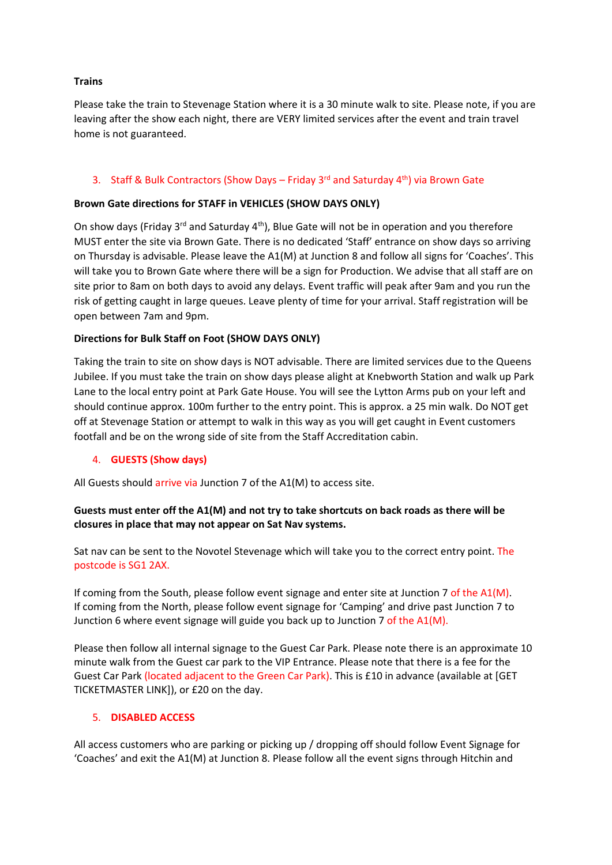#### **Trains**

Please take the train to Stevenage Station where it is a 30 minute walk to site. Please note, if you are leaving after the show each night, there are VERY limited services after the event and train travel home is not guaranteed.

#### 3. Staff & Bulk Contractors (Show Days – Friday 3<sup>rd</sup> and Saturday 4<sup>th</sup>) via Brown Gate

#### **Brown Gate directions for STAFF in VEHICLES (SHOW DAYS ONLY)**

On show days (Friday 3<sup>rd</sup> and Saturday 4<sup>th</sup>), Blue Gate will not be in operation and you therefore MUST enter the site via Brown Gate. There is no dedicated 'Staff' entrance on show days so arriving on Thursday is advisable. Please leave the A1(M) at Junction 8 and follow all signs for 'Coaches'. This will take you to Brown Gate where there will be a sign for Production. We advise that all staff are on site prior to 8am on both days to avoid any delays. Event traffic will peak after 9am and you run the risk of getting caught in large queues. Leave plenty of time for your arrival. Staff registration will be open between 7am and 9pm.

#### **Directions for Bulk Staff on Foot (SHOW DAYS ONLY)**

Taking the train to site on show days is NOT advisable. There are limited services due to the Queens Jubilee. If you must take the train on show days please alight at Knebworth Station and walk up Park Lane to the local entry point at Park Gate House. You will see the Lytton Arms pub on your left and should continue approx. 100m further to the entry point. This is approx. a 25 min walk. Do NOT get off at Stevenage Station or attempt to walk in this way as you will get caught in Event customers footfall and be on the wrong side of site from the Staff Accreditation cabin.

#### 4. **GUESTS (Show days)**

All Guests should arrive via Junction 7 of the A1(M) to access site.

#### **Guests must enter off the A1(M) and not try to take shortcuts on back roads as there will be closures in place that may not appear on Sat Nav systems.**

Sat nav can be sent to the Novotel Stevenage which will take you to the correct entry point. The postcode is SG1 2AX.

If coming from the South, please follow event signage and enter site at Junction 7 of the A1(M). If coming from the North, please follow event signage for 'Camping' and drive past Junction 7 to Junction 6 where event signage will guide you back up to Junction 7 of the A1(M).

Please then follow all internal signage to the Guest Car Park. Please note there is an approximate 10 minute walk from the Guest car park to the VIP Entrance. Please note that there is a fee for the Guest Car Park (located adjacent to the Green Car Park). This is £10 in advance (available at [GET TICKETMASTER LINK]), or £20 on the day.

#### 5. **DISABLED ACCESS**

All access customers who are parking or picking up / dropping off should follow Event Signage for 'Coaches' and exit the A1(M) at Junction 8. Please follow all the event signs through Hitchin and